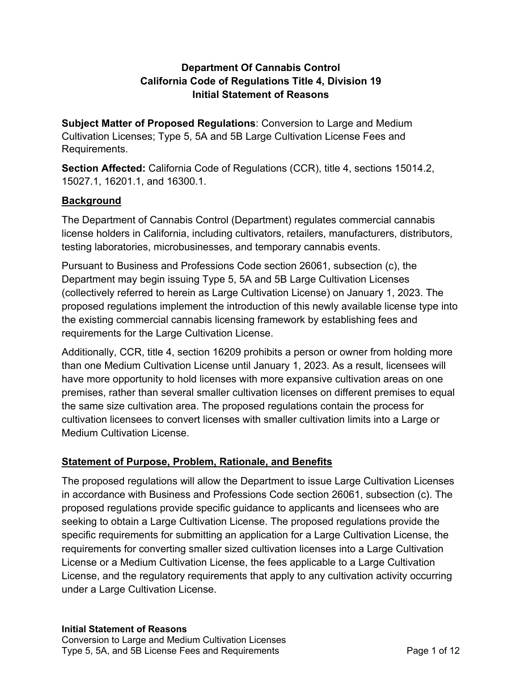# **Department Of Cannabis Control California Code of Regulations Title 4, Division 19 Initial Statement of Reasons**

 **Subject Matter of Proposed Regulations**: Conversion to Large and Medium Cultivation Licenses; Type 5, 5A and 5B Large Cultivation License Fees and Requirements.

 **Section Affected:** California Code of Regulations (CCR), title 4, sections 15014.2, 15027.1, 16201.1, and 16300.1.

# **Background**

 The Department of Cannabis Control (Department) regulates commercial cannabis license holders in California, including cultivators, retailers, manufacturers, distributors, testing laboratories, microbusinesses, and temporary cannabis events.

 Pursuant to Business and Professions Code section 26061, subsection (c), the Department may begin issuing Type 5, 5A and 5B Large Cultivation Licenses (collectively referred to herein as Large Cultivation License) on January 1, 2023. The proposed regulations implement the introduction of this newly available license type into the existing commercial cannabis licensing framework by establishing fees and requirements for the Large Cultivation License.

 Additionally, CCR, title 4, section 16209 prohibits a person or owner from holding more than one Medium Cultivation License until January 1, 2023. As a result, licensees will have more opportunity to hold licenses with more expansive cultivation areas on one premises, rather than several smaller cultivation licenses on different premises to equal the same size cultivation area. The proposed regulations contain the process for cultivation licensees to convert licenses with smaller cultivation limits into a Large or Medium Cultivation License.

# **Statement of Purpose, Problem, Rationale, and Benefits**

 The proposed regulations will allow the Department to issue Large Cultivation Licenses in accordance with Business and Professions Code section 26061, subsection (c). The proposed regulations provide specific guidance to applicants and licensees who are seeking to obtain a Large Cultivation License. The proposed regulations provide the specific requirements for submitting an application for a Large Cultivation License, the requirements for converting smaller sized cultivation licenses into a Large Cultivation License or a Medium Cultivation License, the fees applicable to a Large Cultivation License, and the regulatory requirements that apply to any cultivation activity occurring under a Large Cultivation License.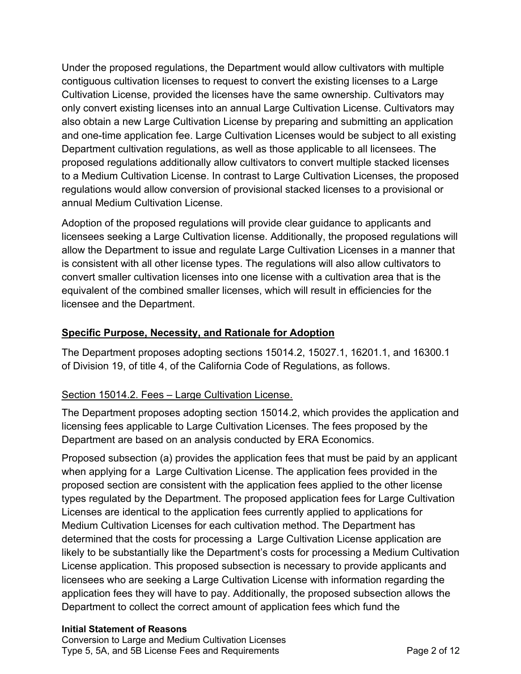Under the proposed regulations, the Department would allow cultivators with multiple contiguous cultivation licenses to request to convert the existing licenses to a Large Cultivation License, provided the licenses have the same ownership. Cultivators may only convert existing licenses into an annual Large Cultivation License. Cultivators may also obtain a new Large Cultivation License by preparing and submitting an application and one-time application fee. Large Cultivation Licenses would be subject to all existing Department cultivation regulations, as well as those applicable to all licensees. The proposed regulations additionally allow cultivators to convert multiple stacked licenses to a Medium Cultivation License. In contrast to Large Cultivation Licenses, the proposed regulations would allow conversion of provisional stacked licenses to a provisional or annual Medium Cultivation License.

 Adoption of the proposed regulations will provide clear guidance to applicants and licensees seeking a Large Cultivation license. Additionally, the proposed regulations will allow the Department to issue and regulate Large Cultivation Licenses in a manner that is consistent with all other license types. The regulations will also allow cultivators to convert smaller cultivation licenses into one license with a cultivation area that is the equivalent of the combined smaller licenses, which will result in efficiencies for the licensee and the Department.

# **Specific Purpose, Necessity, and Rationale for Adoption**

 of Division 19, of title 4, of the California Code of Regulations, as follows. The Department proposes adopting sections 15014.2, 15027.1, 16201.1, and 16300.1

# Section 15014.2. Fees – Large Cultivation License.

 The Department proposes adopting section 15014.2, which provides the application and licensing fees applicable to Large Cultivation Licenses. The fees proposed by the Department are based on an analysis conducted by ERA Economics.

 Proposed subsection (a) provides the application fees that must be paid by an applicant when applying for a Large Cultivation License. The application fees provided in the proposed section are consistent with the application fees applied to the other license types regulated by the Department. The proposed application fees for Large Cultivation Licenses are identical to the application fees currently applied to applications for Medium Cultivation Licenses for each cultivation method. The Department has determined that the costs for processing a Large Cultivation License application are likely to be substantially like the Department's costs for processing a Medium Cultivation License application. This proposed subsection is necessary to provide applicants and licensees who are seeking a Large Cultivation License with information regarding the application fees they will have to pay. Additionally, the proposed subsection allows the Department to collect the correct amount of application fees which fund the

#### **Initial Statement of Reasons**

 Conversion to Large and Medium Cultivation Licenses Type 5, 5A, and 5B License Fees and Requirements **Page 2 of 12**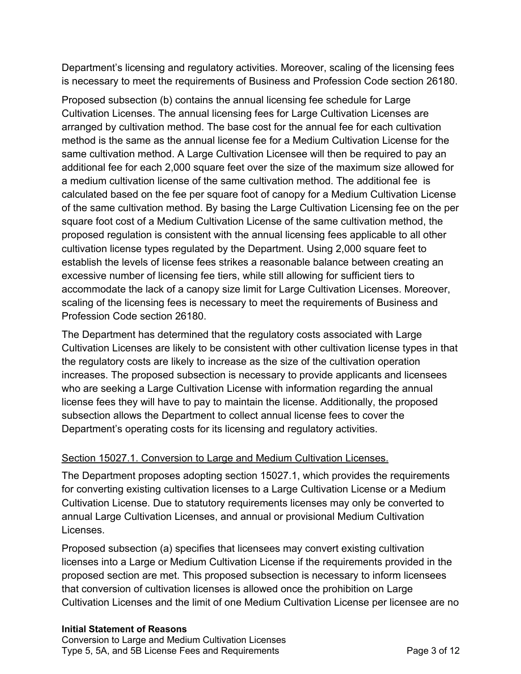Department's licensing and regulatory activities. Moreover, scaling of the licensing fees is necessary to meet the requirements of Business and Profession Code section 26180.

 Proposed subsection (b) contains the annual licensing fee schedule for Large Cultivation Licenses. The annual licensing fees for Large Cultivation Licenses are arranged by cultivation method. The base cost for the annual fee for each cultivation method is the same as the annual license fee for a Medium Cultivation License for the same cultivation method. A Large Cultivation Licensee will then be required to pay an additional fee for each 2,000 square feet over the size of the maximum size allowed for a medium cultivation license of the same cultivation method. The additional fee is calculated based on the fee per square foot of canopy for a Medium Cultivation License of the same cultivation method. By basing the Large Cultivation Licensing fee on the per square foot cost of a Medium Cultivation License of the same cultivation method, the proposed regulation is consistent with the annual licensing fees applicable to all other cultivation license types regulated by the Department. Using 2,000 square feet to establish the levels of license fees strikes a reasonable balance between creating an excessive number of licensing fee tiers, while still allowing for sufficient tiers to accommodate the lack of a canopy size limit for Large Cultivation Licenses. Moreover, scaling of the licensing fees is necessary to meet the requirements of Business and Profession Code section 26180.

 The Department has determined that the regulatory costs associated with Large Cultivation Licenses are likely to be consistent with other cultivation license types in that the regulatory costs are likely to increase as the size of the cultivation operation increases. The proposed subsection is necessary to provide applicants and licensees who are seeking a Large Cultivation License with information regarding the annual license fees they will have to pay to maintain the license. Additionally, the proposed subsection allows the Department to collect annual license fees to cover the Department's operating costs for its licensing and regulatory activities.

# Section 15027.1. Conversion to Large and Medium Cultivation Licenses.

 The Department proposes adopting section 15027.1, which provides the requirements for converting existing cultivation licenses to a Large Cultivation License or a Medium Cultivation License. Due to statutory requirements licenses may only be converted to annual Large Cultivation Licenses, and annual or provisional Medium Cultivation Licenses.

Licenses.<br>Proposed subsection (a) specifies that licensees may convert existing cultivation licenses into a Large or Medium Cultivation License if the requirements provided in the proposed section are met. This proposed subsection is necessary to inform licensees that conversion of cultivation licenses is allowed once the prohibition on Large Cultivation Licenses and the limit of one Medium Cultivation License per licensee are no

#### **Initial Statement of Reasons**

 Conversion to Large and Medium Cultivation Licenses Type 5, 5A, and 5B License Fees and Requirements **Page 3 of 12**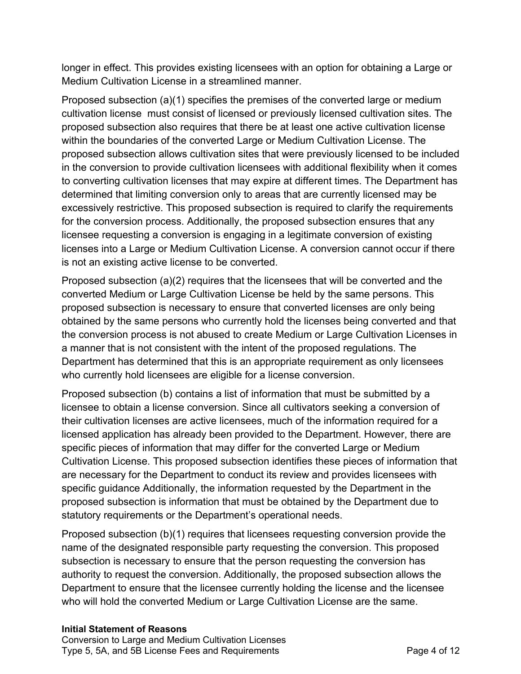longer in effect. This provides existing licensees with an option for obtaining a Large or Medium Cultivation License in a streamlined manner.

 Proposed subsection (a)(1) specifies the premises of the converted large or medium cultivation license must consist of licensed or previously licensed cultivation sites. The proposed subsection also requires that there be at least one active cultivation license within the boundaries of the converted Large or Medium Cultivation License. The proposed subsection allows cultivation sites that were previously licensed to be included in the conversion to provide cultivation licensees with additional flexibility when it comes to converting cultivation licenses that may expire at different times. The Department has determined that limiting conversion only to areas that are currently licensed may be excessively restrictive. This proposed subsection is required to clarify the requirements for the conversion process. Additionally, the proposed subsection ensures that any licensee requesting a conversion is engaging in a legitimate conversion of existing licenses into a Large or Medium Cultivation License. A conversion cannot occur if there is not an existing active license to be converted.

 Proposed subsection (a)(2) requires that the licensees that will be converted and the converted Medium or Large Cultivation License be held by the same persons. This proposed subsection is necessary to ensure that converted licenses are only being obtained by the same persons who currently hold the licenses being converted and that the conversion process is not abused to create Medium or Large Cultivation Licenses in a manner that is not consistent with the intent of the proposed regulations. The Department has determined that this is an appropriate requirement as only licensees who currently hold licensees are eligible for a license conversion.

 Proposed subsection (b) contains a list of information that must be submitted by a licensee to obtain a license conversion. Since all cultivators seeking a conversion of their cultivation licenses are active licensees, much of the information required for a licensed application has already been provided to the Department. However, there are specific pieces of information that may differ for the converted Large or Medium Cultivation License. This proposed subsection identifies these pieces of information that are necessary for the Department to conduct its review and provides licensees with specific guidance Additionally, the information requested by the Department in the proposed subsection is information that must be obtained by the Department due to statutory requirements or the Department's operational needs.

 Proposed subsection (b)(1) requires that licensees requesting conversion provide the name of the designated responsible party requesting the conversion. This proposed subsection is necessary to ensure that the person requesting the conversion has authority to request the conversion. Additionally, the proposed subsection allows the Department to ensure that the licensee currently holding the license and the licensee who will hold the converted Medium or Large Cultivation License are the same.

#### **Initial Statement of Reasons**

 Conversion to Large and Medium Cultivation Licenses Type 5, 5A, and 5B License Fees and Requirements **Page 4 of 12**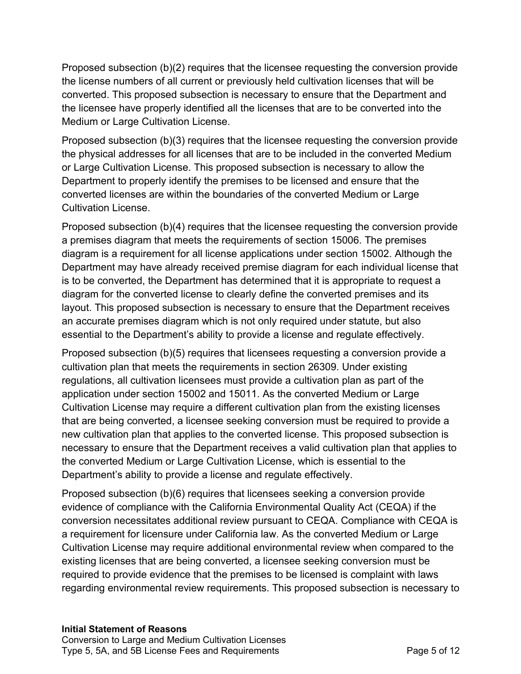Proposed subsection (b)(2) requires that the licensee requesting the conversion provide the license numbers of all current or previously held cultivation licenses that will be converted. This proposed subsection is necessary to ensure that the Department and the licensee have properly identified all the licenses that are to be converted into the Medium or Large Cultivation License.

 Proposed subsection (b)(3) requires that the licensee requesting the conversion provide the physical addresses for all licenses that are to be included in the converted Medium or Large Cultivation License. This proposed subsection is necessary to allow the Department to properly identify the premises to be licensed and ensure that the converted licenses are within the boundaries of the converted Medium or Large Cultivation License.

 Proposed subsection (b)(4) requires that the licensee requesting the conversion provide a premises diagram that meets the requirements of section 15006. The premises diagram is a requirement for all license applications under section 15002. Although the Department may have already received premise diagram for each individual license that is to be converted, the Department has determined that it is appropriate to request a diagram for the converted license to clearly define the converted premises and its layout. This proposed subsection is necessary to ensure that the Department receives an accurate premises diagram which is not only required under statute, but also essential to the Department's ability to provide a license and regulate effectively.

 Proposed subsection (b)(5) requires that licensees requesting a conversion provide a cultivation plan that meets the requirements in section 26309. Under existing regulations, all cultivation licensees must provide a cultivation plan as part of the application under section 15002 and 15011. As the converted Medium or Large Cultivation License may require a different cultivation plan from the existing licenses that are being converted, a licensee seeking conversion must be required to provide a new cultivation plan that applies to the converted license. This proposed subsection is necessary to ensure that the Department receives a valid cultivation plan that applies to the converted Medium or Large Cultivation License, which is essential to the Department's ability to provide a license and regulate effectively.

 Proposed subsection (b)(6) requires that licensees seeking a conversion provide evidence of compliance with the California Environmental Quality Act (CEQA) if the conversion necessitates additional review pursuant to CEQA. Compliance with CEQA is a requirement for licensure under California law. As the converted Medium or Large Cultivation License may require additional environmental review when compared to the existing licenses that are being converted, a licensee seeking conversion must be required to provide evidence that the premises to be licensed is complaint with laws regarding environmental review requirements. This proposed subsection is necessary to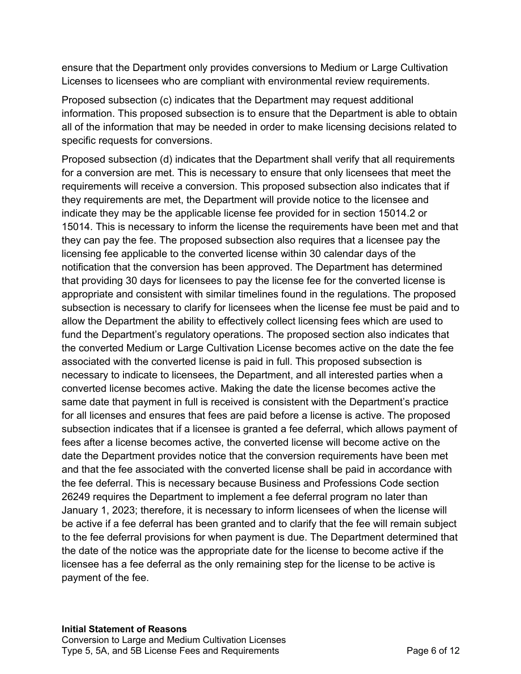ensure that the Department only provides conversions to Medium or Large Cultivation Licenses to licensees who are compliant with environmental review requirements.

 Proposed subsection (c) indicates that the Department may request additional information. This proposed subsection is to ensure that the Department is able to obtain all of the information that may be needed in order to make licensing decisions related to specific requests for conversions.

specific requests for conversions.<br>Proposed subsection (d) indicates that the Department shall verify that all requirements for a conversion are met. This is necessary to ensure that only licensees that meet the requirements will receive a conversion. This proposed subsection also indicates that if they requirements are met, the Department will provide notice to the licensee and indicate they may be the applicable license fee provided for in section 15014.2 or 15014. This is necessary to inform the license the requirements have been met and that they can pay the fee. The proposed subsection also requires that a licensee pay the licensing fee applicable to the converted license within 30 calendar days of the notification that the conversion has been approved. The Department has determined that providing 30 days for licensees to pay the license fee for the converted license is appropriate and consistent with similar timelines found in the regulations. The proposed subsection is necessary to clarify for licensees when the license fee must be paid and to allow the Department the ability to effectively collect licensing fees which are used to fund the Department's regulatory operations. The proposed section also indicates that the converted Medium or Large Cultivation License becomes active on the date the fee associated with the converted license is paid in full. This proposed subsection is necessary to indicate to licensees, the Department, and all interested parties when a converted license becomes active. Making the date the license becomes active the same date that payment in full is received is consistent with the Department's practice for all licenses and ensures that fees are paid before a license is active. The proposed subsection indicates that if a licensee is granted a fee deferral, which allows payment of fees after a license becomes active, the converted license will become active on the date the Department provides notice that the conversion requirements have been met and that the fee associated with the converted license shall be paid in accordance with the fee deferral. This is necessary because Business and Professions Code section 26249 requires the Department to implement a fee deferral program no later than January 1, 2023; therefore, it is necessary to inform licensees of when the license will be active if a fee deferral has been granted and to clarify that the fee will remain subject to the fee deferral provisions for when payment is due. The Department determined that the date of the notice was the appropriate date for the license to become active if the licensee has a fee deferral as the only remaining step for the license to be active is payment of the fee.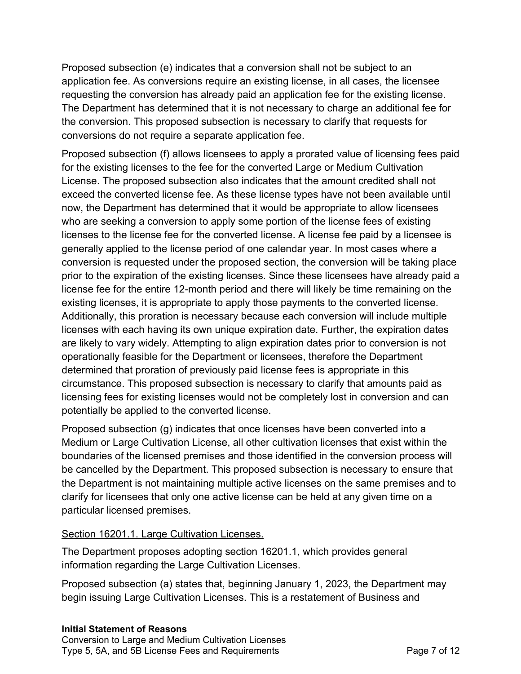Proposed subsection (e) indicates that a conversion shall not be subject to an application fee. As conversions require an existing license, in all cases, the licensee requesting the conversion has already paid an application fee for the existing license. The Department has determined that it is not necessary to charge an additional fee for the conversion. This proposed subsection is necessary to clarify that requests for conversions do not require a separate application fee.

 Proposed subsection (f) allows licensees to apply a prorated value of licensing fees paid for the existing licenses to the fee for the converted Large or Medium Cultivation License. The proposed subsection also indicates that the amount credited shall not exceed the converted license fee. As these license types have not been available until now, the Department has determined that it would be appropriate to allow licensees who are seeking a conversion to apply some portion of the license fees of existing licenses to the license fee for the converted license. A license fee paid by a licensee is generally applied to the license period of one calendar year. In most cases where a conversion is requested under the proposed section, the conversion will be taking place prior to the expiration of the existing licenses. Since these licensees have already paid a license fee for the entire 12-month period and there will likely be time remaining on the existing licenses, it is appropriate to apply those payments to the converted license. Additionally, this proration is necessary because each conversion will include multiple licenses with each having its own unique expiration date. Further, the expiration dates are likely to vary widely. Attempting to align expiration dates prior to conversion is not operationally feasible for the Department or licensees, therefore the Department determined that proration of previously paid license fees is appropriate in this circumstance. This proposed subsection is necessary to clarify that amounts paid as licensing fees for existing licenses would not be completely lost in conversion and can potentially be applied to the converted license.

 Proposed subsection (g) indicates that once licenses have been converted into a Medium or Large Cultivation License, all other cultivation licenses that exist within the boundaries of the licensed premises and those identified in the conversion process will be cancelled by the Department. This proposed subsection is necessary to ensure that the Department is not maintaining multiple active licenses on the same premises and to clarify for licensees that only one active license can be held at any given time on a particular licensed premises.

#### Section 16201.1. Large Cultivation Licenses.

 The Department proposes adopting section 16201.1, which provides general information regarding the Large Cultivation Licenses.

 Proposed subsection (a) states that, beginning January 1, 2023, the Department may begin issuing Large Cultivation Licenses. This is a restatement of Business and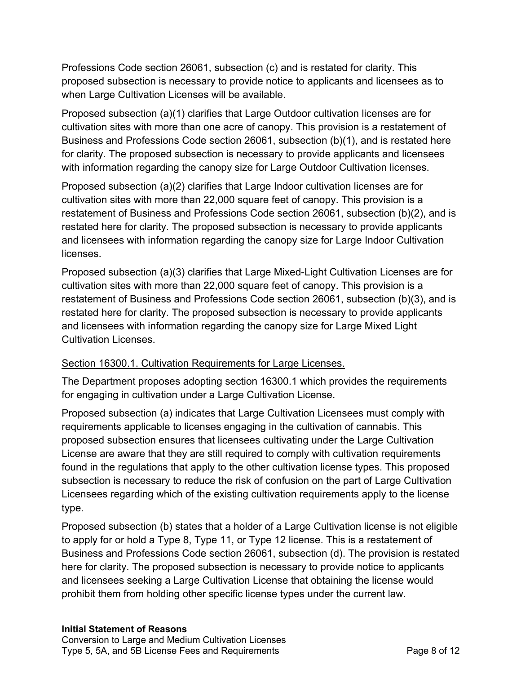Professions Code section 26061, subsection (c) and is restated for clarity. This proposed subsection is necessary to provide notice to applicants and licensees as to when Large Cultivation Licenses will be available.

 Proposed subsection (a)(1) clarifies that Large Outdoor cultivation licenses are for cultivation sites with more than one acre of canopy. This provision is a restatement of Business and Professions Code section 26061, subsection (b)(1), and is restated here for clarity. The proposed subsection is necessary to provide applicants and licensees with information regarding the canopy size for Large Outdoor Cultivation licenses.

 Proposed subsection (a)(2) clarifies that Large Indoor cultivation licenses are for cultivation sites with more than 22,000 square feet of canopy. This provision is a restatement of Business and Professions Code section 26061, subsection (b)(2), and is restated here for clarity. The proposed subsection is necessary to provide applicants and licensees with information regarding the canopy size for Large Indoor Cultivation licenses.

licenses.<br>Proposed subsection (a)(3) clarifies that Large Mixed-Light Cultivation Licenses are for cultivation sites with more than 22,000 square feet of canopy. This provision is a restatement of Business and Professions Code section 26061, subsection (b)(3), and is restated here for clarity. The proposed subsection is necessary to provide applicants and licensees with information regarding the canopy size for Large Mixed Light Cultivation Licenses.

# Section 16300.1. Cultivation Requirements for Large Licenses.

 The Department proposes adopting section 16300.1 which provides the requirements for engaging in cultivation under a Large Cultivation License.

 Proposed subsection (a) indicates that Large Cultivation Licensees must comply with requirements applicable to licenses engaging in the cultivation of cannabis. This proposed subsection ensures that licensees cultivating under the Large Cultivation License are aware that they are still required to comply with cultivation requirements found in the regulations that apply to the other cultivation license types. This proposed subsection is necessary to reduce the risk of confusion on the part of Large Cultivation Licensees regarding which of the existing cultivation requirements apply to the license type.

type.<br>Proposed subsection (b) states that a holder of a Large Cultivation license is not eligible to apply for or hold a Type 8, Type 11, or Type 12 license. This is a restatement of Business and Professions Code section 26061, subsection (d). The provision is restated here for clarity. The proposed subsection is necessary to provide notice to applicants and licensees seeking a Large Cultivation License that obtaining the license would prohibit them from holding other specific license types under the current law.

#### **Initial Statement of Reasons**

 Conversion to Large and Medium Cultivation Licenses Type 5, 5A, and 5B License Fees and Requirements **Page 8 of 12**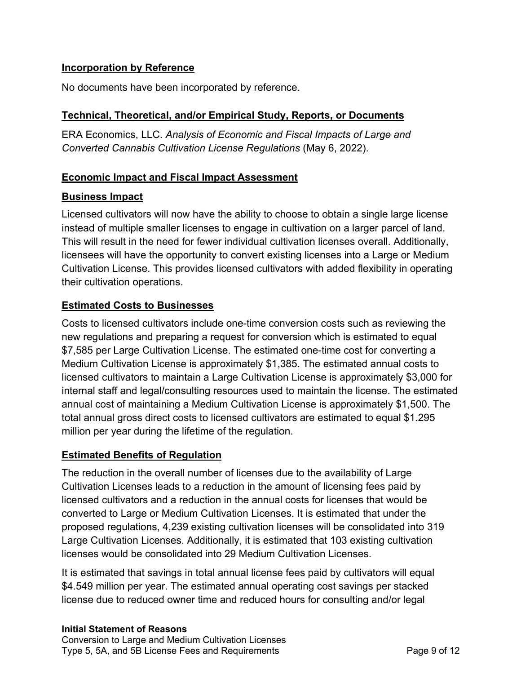## **Incorporation by Reference**

No documents have been incorporated by reference.

### **Technical, Theoretical, and/or Empirical Study, Reports, or Documents**

 ERA Economics, LLC. *Analysis of Economic and Fiscal Impacts of Large and Converted Cannabis Cultivation License Regulations* (May 6, 2022).

### **Economic Impact and Fiscal Impact Assessment**

### **Business Impact**

 Licensed cultivators will now have the ability to choose to obtain a single large license instead of multiple smaller licenses to engage in cultivation on a larger parcel of land. This will result in the need for fewer individual cultivation licenses overall. Additionally, licensees will have the opportunity to convert existing licenses into a Large or Medium Cultivation License. This provides licensed cultivators with added flexibility in operating their cultivation operations.

### **Estimated Costs to Businesses**

 Costs to licensed cultivators include one-time conversion costs such as reviewing the new regulations and preparing a request for conversion which is estimated to equal \$7,585 per Large Cultivation License. The estimated one-time cost for converting a Medium Cultivation License is approximately \$1,385. The estimated annual costs to licensed cultivators to maintain a Large Cultivation License is approximately \$3,000 for internal staff and legal/consulting resources used to maintain the license. The estimated annual cost of maintaining a Medium Cultivation License is approximately \$1,500. The total annual gross direct costs to licensed cultivators are estimated to equal \$1.295 million per year during the lifetime of the regulation.

#### **Estimated Benefits of Regulation**

 The reduction in the overall number of licenses due to the availability of Large Cultivation Licenses leads to a reduction in the amount of licensing fees paid by licensed cultivators and a reduction in the annual costs for licenses that would be converted to Large or Medium Cultivation Licenses. It is estimated that under the proposed regulations, 4,239 existing cultivation licenses will be consolidated into 319 Large Cultivation Licenses. Additionally, it is estimated that 103 existing cultivation licenses would be consolidated into 29 Medium Cultivation Licenses.

 It is estimated that savings in total annual license fees paid by cultivators will equal \$4.549 million per year. The estimated annual operating cost savings per stacked license due to reduced owner time and reduced hours for consulting and/or legal

#### **Initial Statement of Reasons**

 Conversion to Large and Medium Cultivation Licenses Type 5, 5A, and 5B License Fees and Requirements **Page 9 of 12**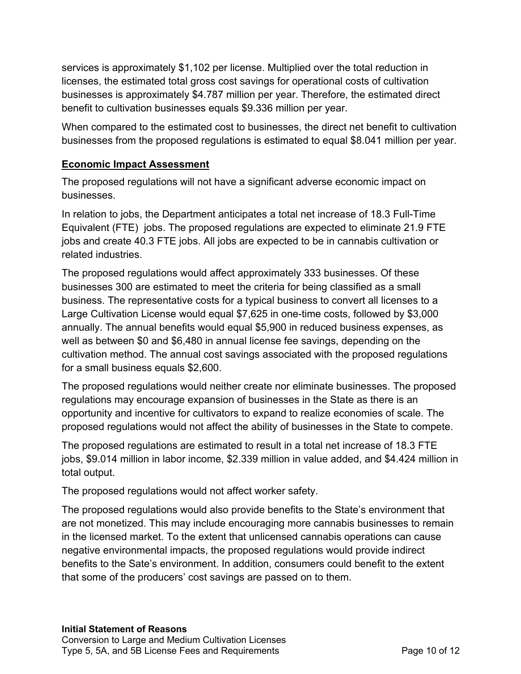services is approximately \$1,102 per license. Multiplied over the total reduction in licenses, the estimated total gross cost savings for operational costs of cultivation businesses is approximately \$4.787 million per year. Therefore, the estimated direct benefit to cultivation businesses equals \$9.336 million per year.

 When compared to the estimated cost to businesses, the direct net benefit to cultivation businesses from the proposed regulations is estimated to equal \$8.041 million per year.

# **Economic Impact Assessment**

 The proposed regulations will not have a significant adverse economic impact on businesses.

 In relation to jobs, the Department anticipates a total net increase of 18.3 Full-Time Equivalent (FTE) jobs. The proposed regulations are expected to eliminate 21.9 FTE jobs and create 40.3 FTE jobs. All jobs are expected to be in cannabis cultivation or related industries.

 The proposed regulations would affect approximately 333 businesses. Of these businesses 300 are estimated to meet the criteria for being classified as a small business. The representative costs for a typical business to convert all licenses to a Large Cultivation License would equal \$7,625 in one-time costs, followed by \$3,000 annually. The annual benefits would equal \$5,900 in reduced business expenses, as well as between \$0 and \$6,480 in annual license fee savings, depending on the cultivation method. The annual cost savings associated with the proposed regulations for a small business equals \$2,600.

 The proposed regulations would neither create nor eliminate businesses. The proposed regulations may encourage expansion of businesses in the State as there is an opportunity and incentive for cultivators to expand to realize economies of scale. The proposed regulations would not affect the ability of businesses in the State to compete.

 The proposed regulations are estimated to result in a total net increase of 18.3 FTE jobs, \$9.014 million in labor income, \$2.339 million in value added, and \$4.424 million in total output.

The proposed regulations would not affect worker safety.

 The proposed regulations would also provide benefits to the State's environment that are not monetized. This may include encouraging more cannabis businesses to remain in the licensed market. To the extent that unlicensed cannabis operations can cause negative environmental impacts, the proposed regulations would provide indirect benefits to the Sate's environment. In addition, consumers could benefit to the extent that some of the producers' cost savings are passed on to them.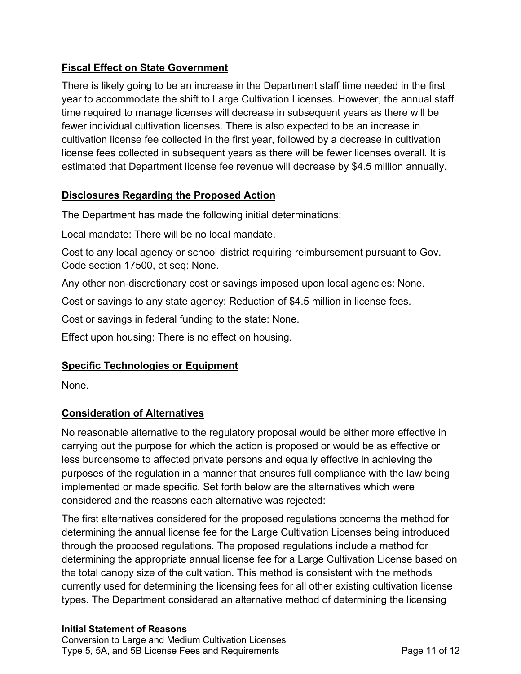# **Fiscal Effect on State Government**

 There is likely going to be an increase in the Department staff time needed in the first year to accommodate the shift to Large Cultivation Licenses. However, the annual staff time required to manage licenses will decrease in subsequent years as there will be fewer individual cultivation licenses. There is also expected to be an increase in cultivation license fee collected in the first year, followed by a decrease in cultivation license fees collected in subsequent years as there will be fewer licenses overall. It is estimated that Department license fee revenue will decrease by \$4.5 million annually.

# **Disclosures Regarding the Proposed Action**

The Department has made the following initial determinations:

Local mandate: There will be no local mandate.

 Cost to any local agency or school district requiring reimbursement pursuant to Gov. Code section 17500, et seq: None.

Any other non-discretionary cost or savings imposed upon local agencies: None.

Cost or savings to any state agency: Reduction of \$4.5 million in license fees.

Cost or savings in federal funding to the state: None.

Effect upon housing: There is no effect on housing.

# **Specific Technologies or Equipment**

None.

# **Consideration of Alternatives**

 No reasonable alternative to the regulatory proposal would be either more effective in carrying out the purpose for which the action is proposed or would be as effective or less burdensome to affected private persons and equally effective in achieving the purposes of the regulation in a manner that ensures full compliance with the law being implemented or made specific. Set forth below are the alternatives which were considered and the reasons each alternative was rejected:

 The first alternatives considered for the proposed regulations concerns the method for determining the annual license fee for the Large Cultivation Licenses being introduced through the proposed regulations. The proposed regulations include a method for determining the appropriate annual license fee for a Large Cultivation License based on the total canopy size of the cultivation. This method is consistent with the methods currently used for determining the licensing fees for all other existing cultivation license types. The Department considered an alternative method of determining the licensing

#### **Initial Statement of Reasons**

 Conversion to Large and Medium Cultivation Licenses Type 5, 5A, and 5B License Fees and Requirements **Page 11 of 12**